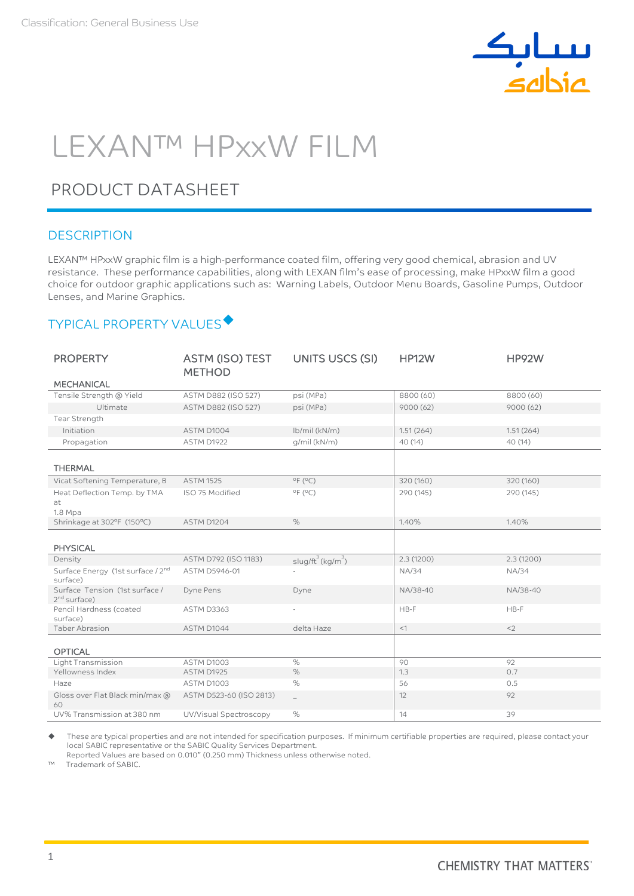

# LEXAN™ HPxxW FILM

## PRODUCT DATASHEET

#### **DESCRIPTION**

LEXAN™ HPxxW graphic film is a high-performance coated film, offering very good chemical, abrasion and UV resistance. These performance capabilities, along with LEXAN film's ease of processing, make HPxxW film a good choice for outdoor graphic applications such as: Warning Labels, Outdoor Menu Boards, Gasoline Pumps, Outdoor Lenses, and Marine Graphics.

## TYPICAL PROPERTY VALUES

| <b>PROPERTY</b>                                  | ASTM (ISO) TEST<br><b>METHOD</b> | UNITS USCS (SI)              | <b>HP12W</b> | <b>HP92W</b> |
|--------------------------------------------------|----------------------------------|------------------------------|--------------|--------------|
| <b>MECHANICAL</b>                                |                                  |                              |              |              |
| Tensile Strength @ Yield                         | ASTM D882 (ISO 527)              | psi (MPa)                    | 8800 (60)    | 8800 (60)    |
| Ultimate                                         | ASTM D882 (ISO 527)              | psi (MPa)                    | 9000(62)     | 9000(62)     |
| Tear Strength                                    |                                  |                              |              |              |
| Initiation                                       | ASTM D1004                       | lb/mil (kN/m)                | 1.51(264)    | 1.51(264)    |
| Propagation                                      | ASTM D1922                       | q/mil (kN/m)                 | 40 (14)      | 40 (14)      |
|                                                  |                                  |                              |              |              |
| <b>THERMAL</b>                                   |                                  |                              |              |              |
| Vicat Softening Temperature, B                   | <b>ASTM 1525</b>                 | $^{\circ}$ F ( $^{\circ}$ C) | 320 (160)    | 320 (160)    |
| Heat Deflection Temp. by TMA                     | ISO 75 Modified                  | $^{\circ}$ F ( $^{\circ}$ C) | 290 (145)    | 290 (145)    |
| at<br>1.8 Mpa                                    |                                  |                              |              |              |
| Shrinkage at 302°F (150°C)                       | ASTM D1204                       | $\%$                         | 1.40%        | 1.40%        |
|                                                  |                                  |                              |              |              |
| <b>PHYSICAL</b>                                  |                                  |                              |              |              |
| Density                                          | ASTM D792 (ISO 1183)             | $slug/ft^3(kg/m^3)$          | 2.3(1200)    | 2.3(1200)    |
| Surface Energy (1st surface / 2nd<br>surface)    | ASTM D5946-01                    |                              | <b>NA/34</b> | <b>NA/34</b> |
| Surface Tension (1st surface /<br>$2nd$ surface) | Dyne Pens                        | Dyne                         | NA/38-40     | NA/38-40     |
| Pencil Hardness (coated<br>surface)              | <b>ASTM D3363</b>                | ٠                            | $HB-F$       | $HB-F$       |
| <b>Taber Abrasion</b>                            | ASTM D1044                       | delta Haze                   | $<1$         | $<$ 2        |
|                                                  |                                  |                              |              |              |
| <b>OPTICAL</b>                                   |                                  |                              |              |              |
| Light Transmission                               | ASTM D1003                       | $\%$                         | 90           | 92           |
| Yellowness Index                                 | ASTM D1925                       | $\%$                         | 1.3          | 0.7          |
| Haze                                             | ASTM D1003                       | %                            | 56           | 0.5          |
| Gloss over Flat Black min/max @<br>60            | ASTM D523-60 (ISO 2813)          | $\equiv$                     | 12           | 92           |
| UV% Transmission at 380 nm                       | UV/Visual Spectroscopy           | $\%$                         | 14           | 39           |

 These are typical properties and are not intended for specification purposes. If minimum certifiable properties are required, please contact your local SABIC representative or the SABIC Quality Services Department.

Reported Values are based on 0.010" (0.250 mm) Thickness unless otherwise noted.<br>
IM Trademark of SABIC

Trademark of SABIC.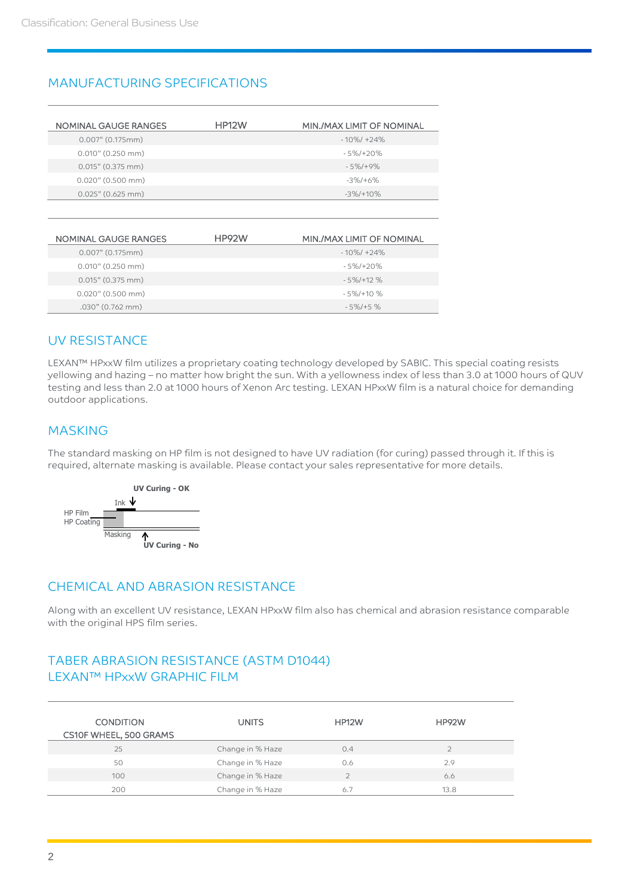## MANUFACTURING SPECIFICATIONS

| NOMINAL GAUGE RANGES | <b>HP12W</b> | MIN./MAX LIMIT OF NOMINAL |
|----------------------|--------------|---------------------------|
| 0.007" (0.175mm)     |              | $-10\%/+24\%$             |
| $0.010$ " (0.250 mm) |              | $-5\%/+20\%$              |
| $0.015$ " (0.375 mm) |              | $-5\%/+9\%$               |
| $0.020$ " (0.500 mm) |              | $-3\%/+6\%$               |
| $0.025$ " (0.625 mm) |              | $-3\%/+10\%$              |

| NOMINAL GAUGE RANGES | HP92W | MIN./MAX LIMIT OF NOMINAL |
|----------------------|-------|---------------------------|
| $0.007$ " (0.175mm)  |       | $-10\%/+24\%$             |
| $0.010$ " (0.250 mm) |       | $-5\%/+20\%$              |
| $0.015$ " (0.375 mm) |       | $-5\%/+12\%$              |
| $0.020$ " (0.500 mm) |       | $-5\%/+10\%$              |
| .030" (0.762 mm)     |       | $-5\%/+5\%$               |

### UV RESISTANCE

LEXAN™ HPxxW film utilizes a proprietary coating technology developed by SABIC. This special coating resists yellowing and hazing – no matter how bright the sun. With a yellowness index of less than 3.0 at 1000 hours of QUV testing and less than 2.0 at 1000 hours of Xenon Arc testing. LEXAN HPxxW film is a natural choice for demanding outdoor applications.

### MASKING

The standard masking on HP film is not designed to have UV radiation (for curing) passed through it. If this is required, alternate masking is available. Please contact your sales representative for more details.



### CHEMICAL AND ABRASION RESISTANCE

Along with an excellent UV resistance, LEXAN HPxxW film also has chemical and abrasion resistance comparable with the original HPS film series.

## TABER ABRASION RESISTANCE (ASTM D1044) LEXAN™ HPxxW GRAPHIC FILM

| <b>CONDITION</b><br>CS10F WHEEL, 500 GRAMS | <b>UNITS</b>     | <b>HP12W</b> | <b>HP92W</b> |
|--------------------------------------------|------------------|--------------|--------------|
| 25                                         | Change in % Haze | 0.4          |              |
| 50                                         | Change in % Haze | 0.6          | 2.9          |
| 100                                        | Change in % Haze |              | 6.6          |
| 200                                        | Change in % Haze | 6.7          | 13.8         |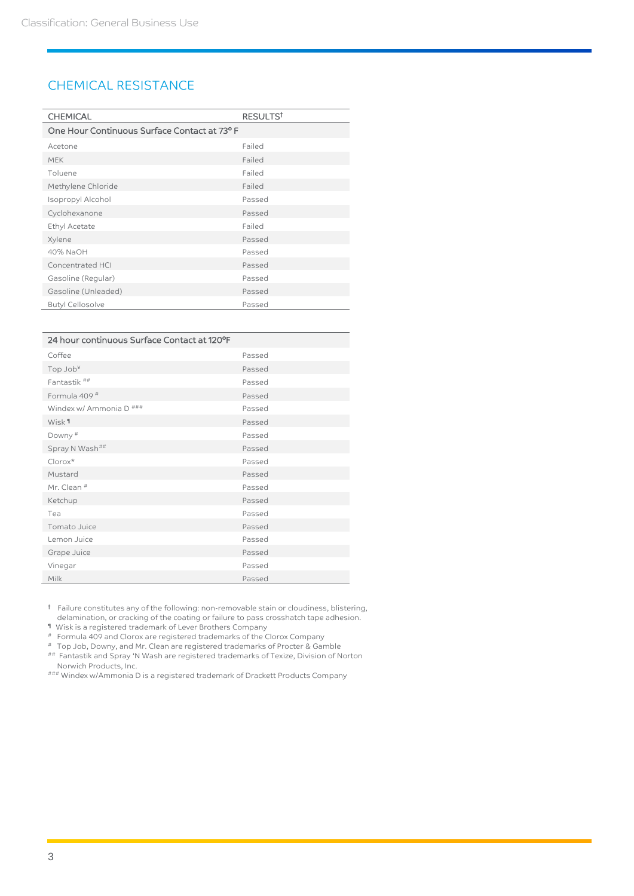#### CHEMICAL RESISTANCE

| <b>CHEMICAL</b>                              | RESULTS <sup>t</sup> |  |
|----------------------------------------------|----------------------|--|
| One Hour Continuous Surface Contact at 73° F |                      |  |
| Acetone                                      | Failed               |  |
| <b>MEK</b>                                   | Failed               |  |
| Toluene                                      | Failed               |  |
| Methylene Chloride                           | Failed               |  |
| Isopropyl Alcohol                            | Passed               |  |
| Cyclohexanone                                | Passed               |  |
| Ethyl Acetate                                | Failed               |  |
| Xylene                                       | Passed               |  |
| 40% NaOH                                     | Passed               |  |
| Concentrated HCI                             | Passed               |  |
| Gasoline (Regular)                           | Passed               |  |
| Gasoline (Unleaded)                          | Passed               |  |
| <b>Butyl Cellosolve</b>                      | Passed               |  |

| 24 hour continuous Surface Contact at 120°F |        |
|---------------------------------------------|--------|
| Coffee                                      | Passed |
| Top Job <sup>¥</sup>                        | Passed |
| Fantastik <sup>##</sup>                     | Passed |
| Formula 409#                                | Passed |
| Windex w/ Ammonia D ###                     | Passed |
| Wisk <sup>1</sup>                           | Passed |
| Downy <sup>#</sup>                          | Passed |
| Spray N Wash##                              | Passed |
| $Clorox*$                                   | Passed |
| Mustard                                     | Passed |
| Mr. Clean #                                 | Passed |
| Ketchup                                     | Passed |
| Tea                                         | Passed |
| Tomato Juice                                | Passed |
| Lemon Juice                                 | Passed |
| Grape Juice                                 | Passed |
| Vinegar                                     | Passed |
| Milk                                        | Passed |

† Failure constitutes any of the following: non-removable stain or cloudiness, blistering,

delamination, or cracking of the coating or failure to pass crosshatch tape adhesion.

¶ Wisk is a registered trademark of Lever Brothers Company

# Formula 409 and Clorox are registered trademarks of the Clorox Company

# Top Job, Downy, and Mr. Clean are registered trademarks of Procter & Gamble ## Fantastik and Spray 'N Wash are registered trademarks of Texize, Division of Norton Norwich Products, Inc.

### Windex w/Ammonia D is a registered trademark of Drackett Products Company